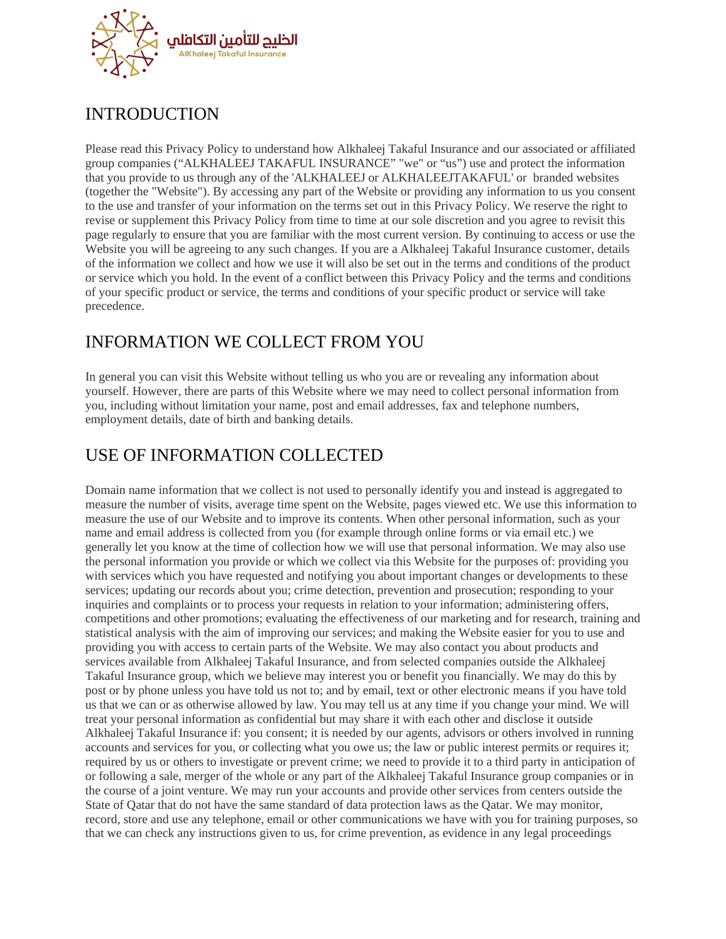

# INTRODUCTION

Please read this Privacy Policy to understand how Alkhaleej Takaful Insurance and our associated or affiliated group companies ("ALKHALEEJ TAKAFUL INSURANCE" "we" or "us") use and protect the information that you provide to us through any of the 'ALKHALEEJ or ALKHALEEJTAKAFUL' or branded websites (together the "Website"). By accessing any part of the Website or providing any information to us you consent to the use and transfer of your information on the terms set out in this Privacy Policy. We reserve the right to revise or supplement this Privacy Policy from time to time at our sole discretion and you agree to revisit this page regularly to ensure that you are familiar with the most current version. By continuing to access or use the Website you will be agreeing to any such changes. If you are a Alkhaleej Takaful Insurance customer, details of the information we collect and how we use it will also be set out in the terms and conditions of the product or service which you hold. In the event of a conflict between this Privacy Policy and the terms and conditions of your specific product or service, the terms and conditions of your specific product or service will take precedence.

### INFORMATION WE COLLECT FROM YOU

In general you can visit this Website without telling us who you are or revealing any information about yourself. However, there are parts of this Website where we may need to collect personal information from you, including without limitation your name, post and email addresses, fax and telephone numbers, employment details, date of birth and banking details.

## USE OF INFORMATION COLLECTED

Domain name information that we collect is not used to personally identify you and instead is aggregated to measure the number of visits, average time spent on the Website, pages viewed etc. We use this information to measure the use of our Website and to improve its contents. When other personal information, such as your name and email address is collected from you (for example through online forms or via email etc.) we generally let you know at the time of collection how we will use that personal information. We may also use the personal information you provide or which we collect via this Website for the purposes of: providing you with services which you have requested and notifying you about important changes or developments to these services; updating our records about you; crime detection, prevention and prosecution; responding to your inquiries and complaints or to process your requests in relation to your information; administering offers, competitions and other promotions; evaluating the effectiveness of our marketing and for research, training and statistical analysis with the aim of improving our services; and making the Website easier for you to use and providing you with access to certain parts of the Website. We may also contact you about products and services available from Alkhaleej Takaful Insurance, and from selected companies outside the Alkhaleej Takaful Insurance group, which we believe may interest you or benefit you financially. We may do this by post or by phone unless you have told us not to; and by email, text or other electronic means if you have told us that we can or as otherwise allowed by law. You may tell us at any time if you change your mind. We will treat your personal information as confidential but may share it with each other and disclose it outside Alkhaleej Takaful Insurance if: you consent; it is needed by our agents, advisors or others involved in running accounts and services for you, or collecting what you owe us; the law or public interest permits or requires it; required by us or others to investigate or prevent crime; we need to provide it to a third party in anticipation of or following a sale, merger of the whole or any part of the Alkhaleej Takaful Insurance group companies or in the course of a joint venture. We may run your accounts and provide other services from centers outside the State of Qatar that do not have the same standard of data protection laws as the Qatar. We may monitor, record, store and use any telephone, email or other communications we have with you for training purposes, so that we can check any instructions given to us, for crime prevention, as evidence in any legal proceedings